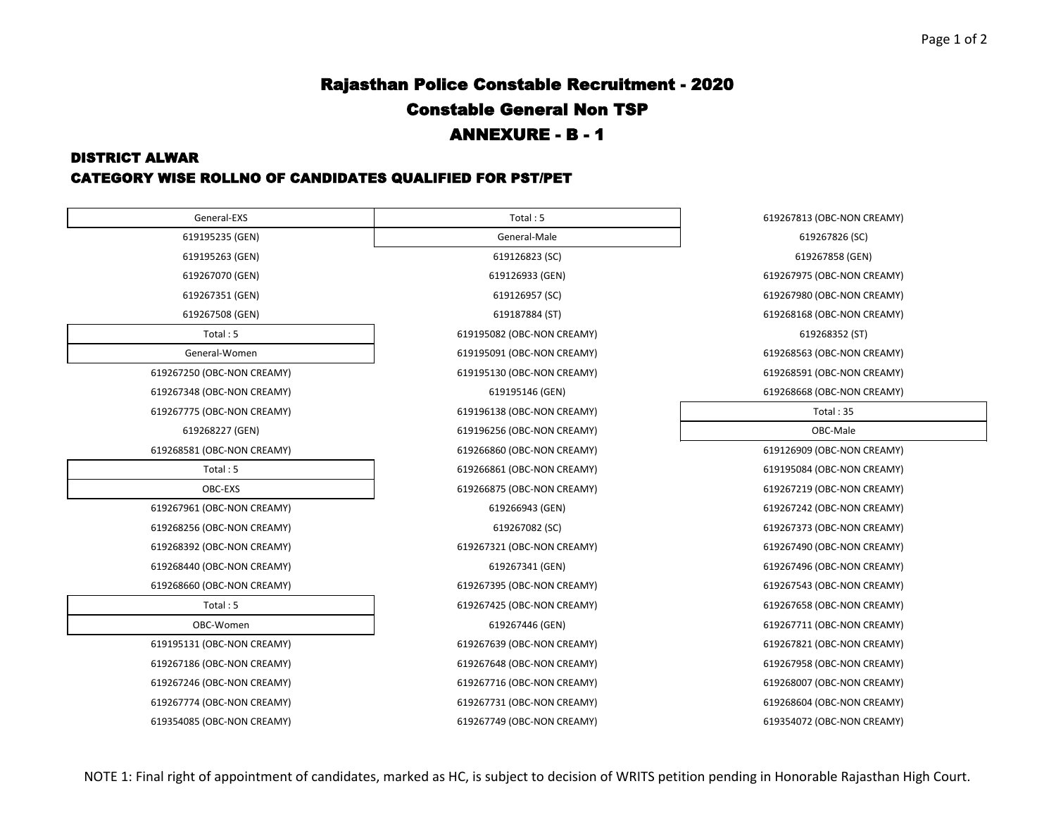# Rajasthan Police Constable Recruitment - 2020 Constable General Non TSP ANNEXURE - B - 1

### DISTRICT ALWAR

## CATEGORY WISE ROLLNO OF CANDIDATES QUALIFIED FOR PST/PET

| General-EXS                | Total: 5                   | 619267813 (OBC-NON CREAMY) |  |
|----------------------------|----------------------------|----------------------------|--|
| 619195235 (GEN)            | General-Male               | 619267826 (SC)             |  |
| 619195263 (GEN)            | 619126823 (SC)             | 619267858 (GEN)            |  |
| 619267070 (GEN)            | 619126933 (GEN)            | 619267975 (OBC-NON CREAMY) |  |
| 619267351 (GEN)            | 619126957 (SC)             | 619267980 (OBC-NON CREAMY) |  |
| 619267508 (GEN)            | 619187884 (ST)             | 619268168 (OBC-NON CREAMY) |  |
| Total: 5                   | 619195082 (OBC-NON CREAMY) | 619268352 (ST)             |  |
| General-Women              | 619195091 (OBC-NON CREAMY) | 619268563 (OBC-NON CREAMY) |  |
| 619267250 (OBC-NON CREAMY) | 619195130 (OBC-NON CREAMY) | 619268591 (OBC-NON CREAMY) |  |
| 619267348 (OBC-NON CREAMY) | 619195146 (GEN)            | 619268668 (OBC-NON CREAMY) |  |
| 619267775 (OBC-NON CREAMY) | 619196138 (OBC-NON CREAMY) | Total: 35                  |  |
| 619268227 (GEN)            | 619196256 (OBC-NON CREAMY) | OBC-Male                   |  |
| 619268581 (OBC-NON CREAMY) | 619266860 (OBC-NON CREAMY) | 619126909 (OBC-NON CREAMY) |  |
| Total: 5                   | 619266861 (OBC-NON CREAMY) | 619195084 (OBC-NON CREAMY) |  |
| OBC-EXS                    | 619266875 (OBC-NON CREAMY) | 619267219 (OBC-NON CREAMY) |  |
| 619267961 (OBC-NON CREAMY) | 619266943 (GEN)            | 619267242 (OBC-NON CREAMY) |  |
| 619268256 (OBC-NON CREAMY) | 619267082 (SC)             | 619267373 (OBC-NON CREAMY) |  |
| 619268392 (OBC-NON CREAMY) | 619267321 (OBC-NON CREAMY) | 619267490 (OBC-NON CREAMY) |  |
| 619268440 (OBC-NON CREAMY) | 619267341 (GEN)            | 619267496 (OBC-NON CREAMY) |  |
| 619268660 (OBC-NON CREAMY) | 619267395 (OBC-NON CREAMY) | 619267543 (OBC-NON CREAMY) |  |
| Total: 5                   | 619267425 (OBC-NON CREAMY) | 619267658 (OBC-NON CREAMY) |  |
| OBC-Women                  | 619267446 (GEN)            | 619267711 (OBC-NON CREAMY) |  |
| 619195131 (OBC-NON CREAMY) | 619267639 (OBC-NON CREAMY) | 619267821 (OBC-NON CREAMY) |  |
| 619267186 (OBC-NON CREAMY) | 619267648 (OBC-NON CREAMY) | 619267958 (OBC-NON CREAMY) |  |
| 619267246 (OBC-NON CREAMY) | 619267716 (OBC-NON CREAMY) | 619268007 (OBC-NON CREAMY) |  |
| 619267774 (OBC-NON CREAMY) | 619267731 (OBC-NON CREAMY) | 619268604 (OBC-NON CREAMY) |  |
| 619354085 (OBC-NON CREAMY) | 619267749 (OBC-NON CREAMY) | 619354072 (OBC-NON CREAMY) |  |
|                            |                            |                            |  |